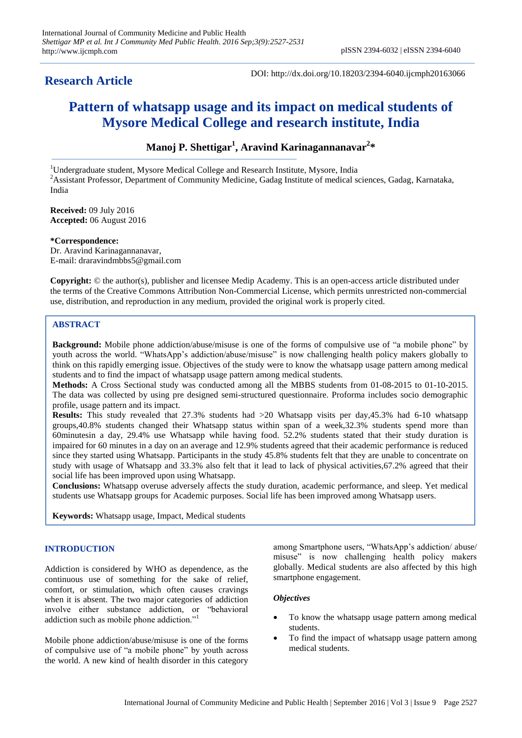# **Research Article**

DOI: http://dx.doi.org/10.18203/2394-6040.ijcmph20163066

# **Pattern of whatsapp usage and its impact on medical students of Mysore Medical College and research institute, India**

**Manoj P. Shettigar<sup>1</sup> , Aravind Karinagannanavar<sup>2</sup> \***

<sup>1</sup>Undergraduate student, Mysore Medical College and Research Institute, Mysore, India  $2A$ ssistant Professor, Department of Community Medicine, Gadag Institute of medical sciences, Gadag, Karnataka, India

**Received:** 09 July 2016 **Accepted:** 06 August 2016

**\*Correspondence:** Dr. Aravind Karinagannanavar, E-mail: draravindmbbs5@gmail.com

**Copyright:** © the author(s), publisher and licensee Medip Academy. This is an open-access article distributed under the terms of the Creative Commons Attribution Non-Commercial License, which permits unrestricted non-commercial use, distribution, and reproduction in any medium, provided the original work is properly cited.

# **ABSTRACT**

**Background:** Mobile phone addiction/abuse/misuse is one of the forms of compulsive use of "a mobile phone" by youth across the world. "WhatsApp's addiction/abuse/misuse" is now challenging health policy makers globally to think on this rapidly emerging issue. Objectives of the study were to know the whatsapp usage pattern among medical students and to find the impact of whatsapp usage pattern among medical students.

**Methods:** A Cross Sectional study was conducted among all the MBBS students from 01-08-2015 to 01-10-2015. The data was collected by using pre designed semi-structured questionnaire. Proforma includes socio demographic profile, usage pattern and its impact.

**Results:** This study revealed that 27.3% students had >20 Whatsapp visits per day,45.3% had 6-10 whatsapp groups,40.8% students changed their Whatsapp status within span of a week,32.3% students spend more than 60minutesin a day, 29.4% use Whatsapp while having food. 52.2% students stated that their study duration is impaired for 60 minutes in a day on an average and 12.9% students agreed that their academic performance is reduced since they started using Whatsapp. Participants in the study 45.8% students felt that they are unable to concentrate on study with usage of Whatsapp and 33.3% also felt that it lead to lack of physical activities,67.2% agreed that their social life has been improved upon using Whatsapp.

**Conclusions:** Whatsapp overuse adversely affects the study duration, academic performance, and sleep. Yet medical students use Whatsapp groups for Academic purposes. Social life has been improved among Whatsapp users.

**Keywords:** Whatsapp usage, Impact, Medical students

# **INTRODUCTION**

Addiction is considered by WHO as dependence, as the continuous use of something for the sake of relief, comfort, or stimulation, which often causes cravings when it is absent. The two major categories of addiction involve either substance addiction, or "behavioral addiction such as mobile phone addiction."<sup>1</sup>

Mobile phone addiction/abuse/misuse is one of the forms of compulsive use of "a mobile phone" by youth across the world. A new kind of health disorder in this category

among Smartphone users, "WhatsApp"s addiction/ abuse/ misuse" is now challenging health policy makers globally. Medical students are also affected by this high smartphone engagement.

# *Objectives*

- To know the whatsapp usage pattern among medical students.
- To find the impact of whatsapp usage pattern among medical students.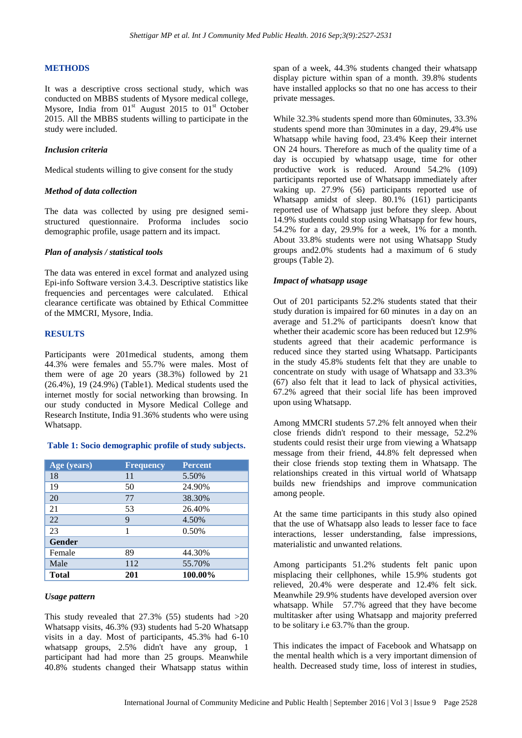## **METHODS**

It was a descriptive cross sectional study, which was conducted on MBBS students of Mysore medical college, Mysore, India from  $01<sup>st</sup>$  August 2015 to  $01<sup>st</sup>$  October 2015. All the MBBS students willing to participate in the study were included.

#### *Inclusion criteria*

Medical students willing to give consent for the study

#### *Method of data collection*

The data was collected by using pre designed semistructured questionnaire. Proforma includes socio demographic profile, usage pattern and its impact.

#### *Plan of analysis / statistical tools*

The data was entered in excel format and analyzed using Epi-info Software version 3.4.3. Descriptive statistics like frequencies and percentages were calculated. Ethical clearance certificate was obtained by Ethical Committee of the MMCRI, Mysore, India.

#### **RESULTS**

Participants were 201medical students, among them 44.3% were females and 55.7% were males. Most of them were of age 20 years (38.3%) followed by 21 (26.4%), 19 (24.9%) (Table1). Medical students used the internet mostly for social networking than browsing. In our study conducted in Mysore Medical College and Research Institute, India 91.36% students who were using Whatsapp.

# **Table 1: Socio demographic profile of study subjects.**

| Age (years)   | <b>Frequency</b> | <b>Percent</b> |
|---------------|------------------|----------------|
| 18            | 11               | 5.50%          |
| 19            | 50               | 24.90%         |
| 20            | 77               | 38.30%         |
| 21            | 53               | 26.40%         |
| 22            | 9                | 4.50%          |
| 23            |                  | 0.50%          |
| <b>Gender</b> |                  |                |
| Female        | 89               | 44.30%         |
| Male          | 112              | 55.70%         |
| <b>Total</b>  | 201              | 100.00%        |

#### *Usage pattern*

This study revealed that  $27.3\%$  (55) students had  $>20$ Whatsapp visits, 46.3% (93) students had 5-20 Whatsapp visits in a day. Most of participants, 45.3% had 6-10 whatsapp groups, 2.5% didn't have any group, 1 participant had had more than 25 groups. Meanwhile 40.8% students changed their Whatsapp status within span of a week, 44.3% students changed their whatsapp display picture within span of a month. 39.8% students have installed applocks so that no one has access to their private messages.

While 32.3% students spend more than 60minutes, 33.3% students spend more than 30minutes in a day, 29.4% use Whatsapp while having food, 23.4% Keep their internet ON 24 hours. Therefore as much of the quality time of a day is occupied by whatsapp usage, time for other productive work is reduced. Around 54.2% (109) participants reported use of Whatsapp immediately after waking up. 27.9% (56) participants reported use of Whatsapp amidst of sleep. 80.1% (161) participants reported use of Whatsapp just before they sleep. About 14.9% students could stop using Whatsapp for few hours, 54.2% for a day, 29.9% for a week, 1% for a month. About 33.8% students were not using Whatsapp Study groups and2.0% students had a maximum of 6 study groups (Table 2).

#### *Impact of whatsapp usage*

Out of 201 participants 52.2% students stated that their study duration is impaired for 60 minutes in a day on an average and 51.2% of participants doesn't know that whether their academic score has been reduced but 12.9% students agreed that their academic performance is reduced since they started using Whatsapp. Participants in the study 45.8% students felt that they are unable to concentrate on study with usage of Whatsapp and 33.3% (67) also felt that it lead to lack of physical activities, 67.2% agreed that their social life has been improved upon using Whatsapp.

Among MMCRI students 57.2% felt annoyed when their close friends didn't respond to their message, 52.2% students could resist their urge from viewing a Whatsapp message from their friend, 44.8% felt depressed when their close friends stop texting them in Whatsapp. The relationships created in this virtual world of Whatsapp builds new friendships and improve communication among people.

At the same time participants in this study also opined that the use of Whatsapp also leads to lesser face to face interactions, lesser understanding, false impressions, materialistic and unwanted relations.

Among participants 51.2% students felt panic upon misplacing their cellphones, while 15.9% students got relieved, 20.4% were desperate and 12.4% felt sick. Meanwhile 29.9% students have developed aversion over whatsapp. While 57.7% agreed that they have become multitasker after using Whatsapp and majority preferred to be solitary i.e 63.7% than the group.

This indicates the impact of Facebook and Whatsapp on the mental health which is a very important dimension of health. Decreased study time, loss of interest in studies,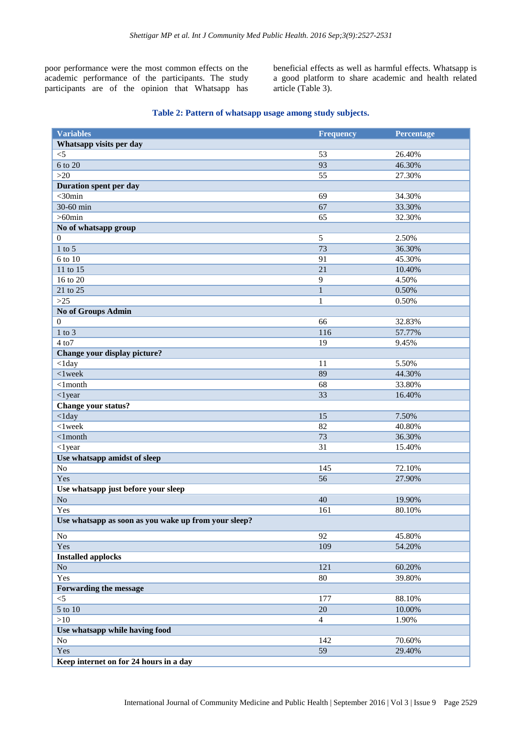poor performance were the most common effects on the academic performance of the participants. The study participants are of the opinion that Whatsapp has beneficial effects as well as harmful effects. Whatsapp is a good platform to share academic and health related article (Table 3).

# **Table 2: Pattern of whatsapp usage among study subjects.**

| Whatsapp visits per day<br>$\leq$<br>53<br>26.40%<br>6 to 20<br>93<br>46.30%<br>>20<br>55<br>27.30%<br>Duration spent per day<br>$<$ 30 $min$<br>69<br>34.30%<br>30-60 min<br>67<br>33.30%<br>$>60$ min<br>65<br>32.30%<br>No of whatsapp group<br>$\overline{5}$<br>2.50%<br>$\Omega$<br>$1$ to 5<br>73<br>36.30%<br>6 to 10<br>91<br>45.30%<br>21<br>11 to 15<br>10.40%<br>16 to 20<br>9<br>4.50%<br>21 to 25<br>$\mathbf{1}$<br>0.50%<br>$>25$<br>0.50%<br>$\mathbf{1}$<br>No of Groups Admin<br>66<br>$\Omega$<br>32.83%<br>$1$ to $3$<br>57.77%<br>116<br>$4\text{ to }7$<br>19<br>9.45%<br>Change your display picture?<br>$<$ 1day<br>11<br>5.50%<br>89<br>$< 1$ week<br>44.30%<br>$<$ 1month<br>68<br>33.80%<br>$<$ 1 year<br>33<br>16.40%<br>Change your status?<br>$<$ 1day<br>15<br>7.50%<br>$<$ 1 week<br>82<br>40.80%<br>73<br>$<$ 1 $month$<br>36.30%<br>$<$ 1 year<br>31<br>15.40%<br>Use whatsapp amidst of sleep<br>145<br>N <sub>o</sub><br>72.10%<br>56<br>Yes<br>27.90%<br>Use whatsapp just before your sleep<br>N <sub>o</sub><br>40<br>19.90%<br>Yes<br>161<br>80.10%<br>Use whatsapp as soon as you wake up from your sleep?<br>No<br>92<br>45.80%<br>Yes<br>109<br>54.20%<br><b>Installed applocks</b><br>$\rm No$<br>121<br>60.20%<br>Yes<br>$80\,$<br>39.80%<br>Forwarding the message<br>$<$ 5<br>88.10%<br>177<br>5 to 10<br>$20\,$<br>10.00%<br>>10<br>$\overline{4}$<br>1.90%<br>Use whatsapp while having food<br>$\rm No$<br>70.60%<br>142<br>Yes<br>59<br>29.40% | <b>Variables</b>                       | <b>Frequency</b> | Percentage |
|----------------------------------------------------------------------------------------------------------------------------------------------------------------------------------------------------------------------------------------------------------------------------------------------------------------------------------------------------------------------------------------------------------------------------------------------------------------------------------------------------------------------------------------------------------------------------------------------------------------------------------------------------------------------------------------------------------------------------------------------------------------------------------------------------------------------------------------------------------------------------------------------------------------------------------------------------------------------------------------------------------------------------------------------------------------------------------------------------------------------------------------------------------------------------------------------------------------------------------------------------------------------------------------------------------------------------------------------------------------------------------------------------------------------------------------------------------------------------------------------------|----------------------------------------|------------------|------------|
|                                                                                                                                                                                                                                                                                                                                                                                                                                                                                                                                                                                                                                                                                                                                                                                                                                                                                                                                                                                                                                                                                                                                                                                                                                                                                                                                                                                                                                                                                                    |                                        |                  |            |
|                                                                                                                                                                                                                                                                                                                                                                                                                                                                                                                                                                                                                                                                                                                                                                                                                                                                                                                                                                                                                                                                                                                                                                                                                                                                                                                                                                                                                                                                                                    |                                        |                  |            |
|                                                                                                                                                                                                                                                                                                                                                                                                                                                                                                                                                                                                                                                                                                                                                                                                                                                                                                                                                                                                                                                                                                                                                                                                                                                                                                                                                                                                                                                                                                    |                                        |                  |            |
|                                                                                                                                                                                                                                                                                                                                                                                                                                                                                                                                                                                                                                                                                                                                                                                                                                                                                                                                                                                                                                                                                                                                                                                                                                                                                                                                                                                                                                                                                                    |                                        |                  |            |
|                                                                                                                                                                                                                                                                                                                                                                                                                                                                                                                                                                                                                                                                                                                                                                                                                                                                                                                                                                                                                                                                                                                                                                                                                                                                                                                                                                                                                                                                                                    |                                        |                  |            |
|                                                                                                                                                                                                                                                                                                                                                                                                                                                                                                                                                                                                                                                                                                                                                                                                                                                                                                                                                                                                                                                                                                                                                                                                                                                                                                                                                                                                                                                                                                    |                                        |                  |            |
|                                                                                                                                                                                                                                                                                                                                                                                                                                                                                                                                                                                                                                                                                                                                                                                                                                                                                                                                                                                                                                                                                                                                                                                                                                                                                                                                                                                                                                                                                                    |                                        |                  |            |
|                                                                                                                                                                                                                                                                                                                                                                                                                                                                                                                                                                                                                                                                                                                                                                                                                                                                                                                                                                                                                                                                                                                                                                                                                                                                                                                                                                                                                                                                                                    |                                        |                  |            |
|                                                                                                                                                                                                                                                                                                                                                                                                                                                                                                                                                                                                                                                                                                                                                                                                                                                                                                                                                                                                                                                                                                                                                                                                                                                                                                                                                                                                                                                                                                    |                                        |                  |            |
|                                                                                                                                                                                                                                                                                                                                                                                                                                                                                                                                                                                                                                                                                                                                                                                                                                                                                                                                                                                                                                                                                                                                                                                                                                                                                                                                                                                                                                                                                                    |                                        |                  |            |
|                                                                                                                                                                                                                                                                                                                                                                                                                                                                                                                                                                                                                                                                                                                                                                                                                                                                                                                                                                                                                                                                                                                                                                                                                                                                                                                                                                                                                                                                                                    |                                        |                  |            |
|                                                                                                                                                                                                                                                                                                                                                                                                                                                                                                                                                                                                                                                                                                                                                                                                                                                                                                                                                                                                                                                                                                                                                                                                                                                                                                                                                                                                                                                                                                    |                                        |                  |            |
|                                                                                                                                                                                                                                                                                                                                                                                                                                                                                                                                                                                                                                                                                                                                                                                                                                                                                                                                                                                                                                                                                                                                                                                                                                                                                                                                                                                                                                                                                                    |                                        |                  |            |
|                                                                                                                                                                                                                                                                                                                                                                                                                                                                                                                                                                                                                                                                                                                                                                                                                                                                                                                                                                                                                                                                                                                                                                                                                                                                                                                                                                                                                                                                                                    |                                        |                  |            |
|                                                                                                                                                                                                                                                                                                                                                                                                                                                                                                                                                                                                                                                                                                                                                                                                                                                                                                                                                                                                                                                                                                                                                                                                                                                                                                                                                                                                                                                                                                    |                                        |                  |            |
|                                                                                                                                                                                                                                                                                                                                                                                                                                                                                                                                                                                                                                                                                                                                                                                                                                                                                                                                                                                                                                                                                                                                                                                                                                                                                                                                                                                                                                                                                                    |                                        |                  |            |
|                                                                                                                                                                                                                                                                                                                                                                                                                                                                                                                                                                                                                                                                                                                                                                                                                                                                                                                                                                                                                                                                                                                                                                                                                                                                                                                                                                                                                                                                                                    |                                        |                  |            |
|                                                                                                                                                                                                                                                                                                                                                                                                                                                                                                                                                                                                                                                                                                                                                                                                                                                                                                                                                                                                                                                                                                                                                                                                                                                                                                                                                                                                                                                                                                    |                                        |                  |            |
|                                                                                                                                                                                                                                                                                                                                                                                                                                                                                                                                                                                                                                                                                                                                                                                                                                                                                                                                                                                                                                                                                                                                                                                                                                                                                                                                                                                                                                                                                                    |                                        |                  |            |
|                                                                                                                                                                                                                                                                                                                                                                                                                                                                                                                                                                                                                                                                                                                                                                                                                                                                                                                                                                                                                                                                                                                                                                                                                                                                                                                                                                                                                                                                                                    |                                        |                  |            |
|                                                                                                                                                                                                                                                                                                                                                                                                                                                                                                                                                                                                                                                                                                                                                                                                                                                                                                                                                                                                                                                                                                                                                                                                                                                                                                                                                                                                                                                                                                    |                                        |                  |            |
|                                                                                                                                                                                                                                                                                                                                                                                                                                                                                                                                                                                                                                                                                                                                                                                                                                                                                                                                                                                                                                                                                                                                                                                                                                                                                                                                                                                                                                                                                                    |                                        |                  |            |
|                                                                                                                                                                                                                                                                                                                                                                                                                                                                                                                                                                                                                                                                                                                                                                                                                                                                                                                                                                                                                                                                                                                                                                                                                                                                                                                                                                                                                                                                                                    |                                        |                  |            |
|                                                                                                                                                                                                                                                                                                                                                                                                                                                                                                                                                                                                                                                                                                                                                                                                                                                                                                                                                                                                                                                                                                                                                                                                                                                                                                                                                                                                                                                                                                    |                                        |                  |            |
|                                                                                                                                                                                                                                                                                                                                                                                                                                                                                                                                                                                                                                                                                                                                                                                                                                                                                                                                                                                                                                                                                                                                                                                                                                                                                                                                                                                                                                                                                                    |                                        |                  |            |
|                                                                                                                                                                                                                                                                                                                                                                                                                                                                                                                                                                                                                                                                                                                                                                                                                                                                                                                                                                                                                                                                                                                                                                                                                                                                                                                                                                                                                                                                                                    |                                        |                  |            |
|                                                                                                                                                                                                                                                                                                                                                                                                                                                                                                                                                                                                                                                                                                                                                                                                                                                                                                                                                                                                                                                                                                                                                                                                                                                                                                                                                                                                                                                                                                    |                                        |                  |            |
|                                                                                                                                                                                                                                                                                                                                                                                                                                                                                                                                                                                                                                                                                                                                                                                                                                                                                                                                                                                                                                                                                                                                                                                                                                                                                                                                                                                                                                                                                                    |                                        |                  |            |
|                                                                                                                                                                                                                                                                                                                                                                                                                                                                                                                                                                                                                                                                                                                                                                                                                                                                                                                                                                                                                                                                                                                                                                                                                                                                                                                                                                                                                                                                                                    |                                        |                  |            |
|                                                                                                                                                                                                                                                                                                                                                                                                                                                                                                                                                                                                                                                                                                                                                                                                                                                                                                                                                                                                                                                                                                                                                                                                                                                                                                                                                                                                                                                                                                    |                                        |                  |            |
|                                                                                                                                                                                                                                                                                                                                                                                                                                                                                                                                                                                                                                                                                                                                                                                                                                                                                                                                                                                                                                                                                                                                                                                                                                                                                                                                                                                                                                                                                                    |                                        |                  |            |
|                                                                                                                                                                                                                                                                                                                                                                                                                                                                                                                                                                                                                                                                                                                                                                                                                                                                                                                                                                                                                                                                                                                                                                                                                                                                                                                                                                                                                                                                                                    |                                        |                  |            |
|                                                                                                                                                                                                                                                                                                                                                                                                                                                                                                                                                                                                                                                                                                                                                                                                                                                                                                                                                                                                                                                                                                                                                                                                                                                                                                                                                                                                                                                                                                    |                                        |                  |            |
|                                                                                                                                                                                                                                                                                                                                                                                                                                                                                                                                                                                                                                                                                                                                                                                                                                                                                                                                                                                                                                                                                                                                                                                                                                                                                                                                                                                                                                                                                                    |                                        |                  |            |
|                                                                                                                                                                                                                                                                                                                                                                                                                                                                                                                                                                                                                                                                                                                                                                                                                                                                                                                                                                                                                                                                                                                                                                                                                                                                                                                                                                                                                                                                                                    |                                        |                  |            |
|                                                                                                                                                                                                                                                                                                                                                                                                                                                                                                                                                                                                                                                                                                                                                                                                                                                                                                                                                                                                                                                                                                                                                                                                                                                                                                                                                                                                                                                                                                    |                                        |                  |            |
|                                                                                                                                                                                                                                                                                                                                                                                                                                                                                                                                                                                                                                                                                                                                                                                                                                                                                                                                                                                                                                                                                                                                                                                                                                                                                                                                                                                                                                                                                                    |                                        |                  |            |
|                                                                                                                                                                                                                                                                                                                                                                                                                                                                                                                                                                                                                                                                                                                                                                                                                                                                                                                                                                                                                                                                                                                                                                                                                                                                                                                                                                                                                                                                                                    |                                        |                  |            |
|                                                                                                                                                                                                                                                                                                                                                                                                                                                                                                                                                                                                                                                                                                                                                                                                                                                                                                                                                                                                                                                                                                                                                                                                                                                                                                                                                                                                                                                                                                    |                                        |                  |            |
|                                                                                                                                                                                                                                                                                                                                                                                                                                                                                                                                                                                                                                                                                                                                                                                                                                                                                                                                                                                                                                                                                                                                                                                                                                                                                                                                                                                                                                                                                                    |                                        |                  |            |
|                                                                                                                                                                                                                                                                                                                                                                                                                                                                                                                                                                                                                                                                                                                                                                                                                                                                                                                                                                                                                                                                                                                                                                                                                                                                                                                                                                                                                                                                                                    |                                        |                  |            |
|                                                                                                                                                                                                                                                                                                                                                                                                                                                                                                                                                                                                                                                                                                                                                                                                                                                                                                                                                                                                                                                                                                                                                                                                                                                                                                                                                                                                                                                                                                    |                                        |                  |            |
|                                                                                                                                                                                                                                                                                                                                                                                                                                                                                                                                                                                                                                                                                                                                                                                                                                                                                                                                                                                                                                                                                                                                                                                                                                                                                                                                                                                                                                                                                                    |                                        |                  |            |
|                                                                                                                                                                                                                                                                                                                                                                                                                                                                                                                                                                                                                                                                                                                                                                                                                                                                                                                                                                                                                                                                                                                                                                                                                                                                                                                                                                                                                                                                                                    |                                        |                  |            |
|                                                                                                                                                                                                                                                                                                                                                                                                                                                                                                                                                                                                                                                                                                                                                                                                                                                                                                                                                                                                                                                                                                                                                                                                                                                                                                                                                                                                                                                                                                    |                                        |                  |            |
|                                                                                                                                                                                                                                                                                                                                                                                                                                                                                                                                                                                                                                                                                                                                                                                                                                                                                                                                                                                                                                                                                                                                                                                                                                                                                                                                                                                                                                                                                                    |                                        |                  |            |
|                                                                                                                                                                                                                                                                                                                                                                                                                                                                                                                                                                                                                                                                                                                                                                                                                                                                                                                                                                                                                                                                                                                                                                                                                                                                                                                                                                                                                                                                                                    |                                        |                  |            |
|                                                                                                                                                                                                                                                                                                                                                                                                                                                                                                                                                                                                                                                                                                                                                                                                                                                                                                                                                                                                                                                                                                                                                                                                                                                                                                                                                                                                                                                                                                    |                                        |                  |            |
|                                                                                                                                                                                                                                                                                                                                                                                                                                                                                                                                                                                                                                                                                                                                                                                                                                                                                                                                                                                                                                                                                                                                                                                                                                                                                                                                                                                                                                                                                                    |                                        |                  |            |
|                                                                                                                                                                                                                                                                                                                                                                                                                                                                                                                                                                                                                                                                                                                                                                                                                                                                                                                                                                                                                                                                                                                                                                                                                                                                                                                                                                                                                                                                                                    | Keep internet on for 24 hours in a day |                  |            |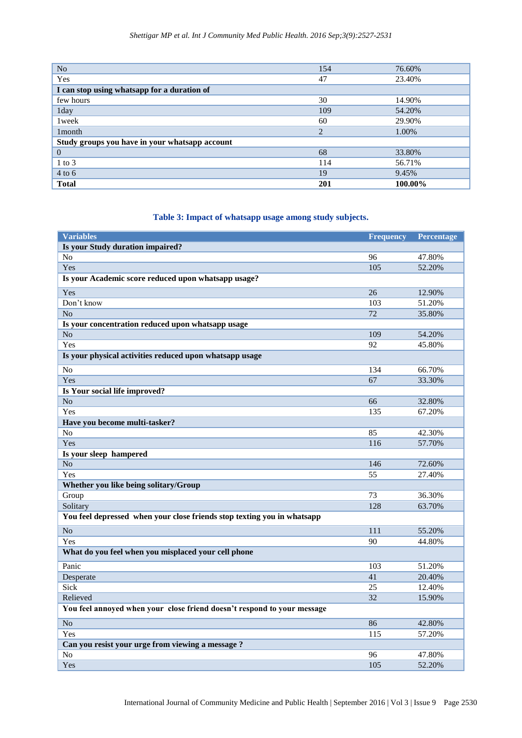| N <sub>o</sub>                                 | 154            | 76.60%  |  |  |
|------------------------------------------------|----------------|---------|--|--|
| Yes                                            | 47             | 23.40%  |  |  |
| I can stop using whatsapp for a duration of    |                |         |  |  |
| few hours                                      | 30             | 14.90%  |  |  |
| 1day                                           | 109            | 54.20%  |  |  |
| 1 week                                         | 60             | 29.90%  |  |  |
| 1 <sub>month</sub>                             | $\overline{2}$ | 1.00%   |  |  |
| Study groups you have in your whatsapp account |                |         |  |  |
| $\theta$                                       | 68             | 33.80%  |  |  |
| $1$ to $3$                                     | 114            | 56.71%  |  |  |
| $4$ to 6                                       | 19             | 9.45%   |  |  |
| <b>Total</b>                                   | 201            | 100.00% |  |  |

# **Table 3: Impact of whatsapp usage among study subjects.**

| <b>Variables</b>                                                        | <b>Frequency</b> | Percentage |
|-------------------------------------------------------------------------|------------------|------------|
| Is your Study duration impaired?                                        |                  |            |
| N <sub>o</sub>                                                          | 96               | 47.80%     |
| Yes                                                                     | 105              | 52.20%     |
| Is your Academic score reduced upon whatsapp usage?                     |                  |            |
| Yes                                                                     | 26               | 12.90%     |
| Don't know                                                              | 103              | 51.20%     |
| N <sub>o</sub>                                                          | 72               | 35.80%     |
| Is your concentration reduced upon whatsapp usage                       |                  |            |
| N <sub>o</sub>                                                          | 109              | 54.20%     |
| Yes                                                                     | 92               | 45.80%     |
| Is your physical activities reduced upon whatsapp usage                 |                  |            |
| No                                                                      | 134              | 66.70%     |
| Yes                                                                     | 67               | 33.30%     |
| Is Your social life improved?                                           |                  |            |
| N <sub>o</sub>                                                          | 66               | 32.80%     |
| Yes                                                                     | 135              | 67.20%     |
| Have you become multi-tasker?                                           |                  |            |
| N <sub>o</sub>                                                          | 85               | 42.30%     |
| Yes                                                                     | 116              | 57.70%     |
| Is your sleep hampered                                                  |                  |            |
| No                                                                      | 146              | 72.60%     |
| Yes                                                                     | 55               | 27.40%     |
| Whether you like being solitary/Group                                   |                  |            |
| Group                                                                   | 73               | 36.30%     |
| Solitary                                                                | 128              | 63.70%     |
| You feel depressed when your close friends stop texting you in whatsapp |                  |            |
| No                                                                      | 111              | 55.20%     |
| Yes                                                                     | 90               | 44.80%     |
| What do you feel when you misplaced your cell phone                     |                  |            |
| Panic                                                                   | 103              | 51.20%     |
| Desperate                                                               | 41               | 20.40%     |
| Sick                                                                    | 25               | 12.40%     |
| Relieved                                                                | 32               | 15.90%     |
| You feel annoyed when your close friend doesn't respond to your message |                  |            |
| N <sub>o</sub>                                                          | 86               | 42.80%     |
| Yes                                                                     | 115              | 57.20%     |
| Can you resist your urge from viewing a message ?                       |                  |            |
| N <sub>o</sub>                                                          | 96               | 47.80%     |
| Yes                                                                     | 105              | 52.20%     |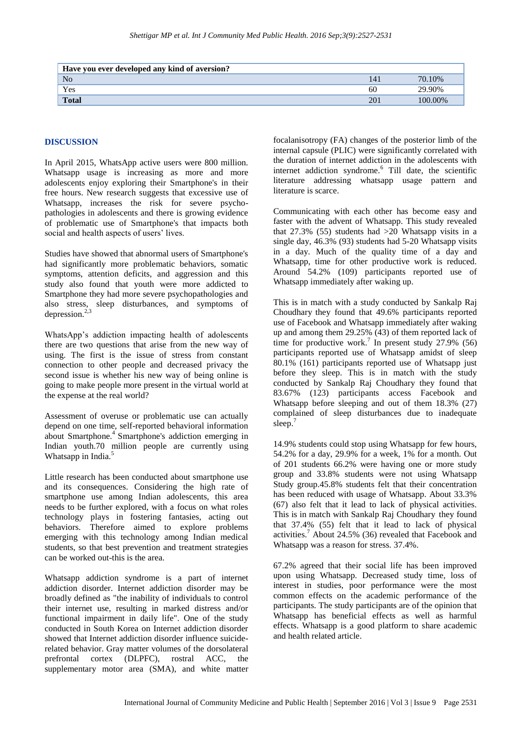| Have you ever developed any kind of aversion? |     |         |
|-----------------------------------------------|-----|---------|
| N <sub>o</sub>                                | 14. | 70.10%  |
| Yes                                           | 60  | .90%    |
| <b>Total</b>                                  | 20  | 100.00% |

#### **DISCUSSION**

In April 2015, WhatsApp active users were 800 million. Whatsapp usage is increasing as more and more adolescents enjoy exploring their Smartphone's in their free hours. New research suggests that excessive use of Whatsapp, increases the risk for severe psychopathologies in adolescents and there is growing evidence of problematic use of Smartphone's that impacts both social and health aspects of users' lives.

Studies have showed that abnormal users of Smartphone's had significantly more problematic behaviors, somatic symptoms, attention deficits, and aggression and this study also found that youth were more addicted to Smartphone they had more severe psychopathologies and also stress, sleep disturbances, and symptoms of depression. $2,3$ 

WhatsApp"s addiction impacting health of adolescents there are two questions that arise from the new way of using. The first is the issue of stress from constant connection to other people and decreased privacy the second issue is whether his new way of being online is going to make people more present in the virtual world at the expense at the real world?

Assessment of overuse or problematic use can actually depend on one time, self-reported behavioral information about Smartphone.<sup>4</sup> Smartphone's addiction emerging in Indian youth.70 million people are currently using Whatsapp in India.<sup>5</sup>

Little research has been conducted about smartphone use and its consequences. Considering the high rate of smartphone use among Indian adolescents, this area needs to be further explored, with a focus on what roles technology plays in fostering fantasies, acting out behaviors. Therefore aimed to explore problems emerging with this technology among Indian medical students, so that best prevention and treatment strategies can be worked out-this is the area.

Whatsapp addiction syndrome is a part of internet addiction disorder. Internet addiction disorder may be broadly defined as "the inability of individuals to control their internet use, resulting in marked distress and/or functional impairment in daily life". One of the study conducted in South Korea on Internet addiction disorder showed that Internet addiction disorder influence suiciderelated behavior. Gray matter volumes of the dorsolateral prefrontal cortex (DLPFC), rostral ACC, the supplementary motor area (SMA), and white matter focalanisotropy (FA) changes of the posterior limb of the internal capsule (PLIC) were significantly correlated with the duration of internet addiction in the adolescents with internet addiction syndrome.<sup>6</sup> Till date, the scientific literature addressing whatsapp usage pattern and literature is scarce.

Communicating with each other has become easy and faster with the advent of Whatsapp. This study revealed that  $27.3\%$  (55) students had  $>20$  Whatsapp visits in a single day, 46.3% (93) students had 5-20 Whatsapp visits in a day. Much of the quality time of a day and Whatsapp, time for other productive work is reduced. Around 54.2% (109) participants reported use of Whatsapp immediately after waking up.

This is in match with a study conducted by Sankalp Raj Choudhary they found that 49.6% participants reported use of Facebook and Whatsapp immediately after waking up and among them 29.25%  $(A3)$  of them reported lack of time for productive work.<sup>7</sup> In present study 27.9% (56) participants reported use of Whatsapp amidst of sleep 80.1% (161) participants reported use of Whatsapp just before they sleep. This is in match with the study conducted by Sankalp Raj Choudhary they found that 83.67% (123) participants access Facebook and Whatsapp before sleeping and out of them 18.3% (27) complained of sleep disturbances due to inadequate sleep.<sup>7</sup>

14.9% students could stop using Whatsapp for few hours, 54.2% for a day, 29.9% for a week, 1% for a month. Out of 201 students 66.2% were having one or more study group and 33.8% students were not using Whatsapp Study group.45.8% students felt that their concentration has been reduced with usage of Whatsapp. About 33.3% (67) also felt that it lead to lack of physical activities. This is in match with Sankalp Raj Choudhary they found that 37.4% (55) felt that it lead to lack of physical activities.<sup>7</sup> About 24.5% (36) revealed that Facebook and Whatsapp was a reason for stress. 37.4%.

67.2% agreed that their social life has been improved upon using Whatsapp. Decreased study time, loss of interest in studies, poor performance were the most common effects on the academic performance of the participants. The study participants are of the opinion that Whatsapp has beneficial effects as well as harmful effects. Whatsapp is a good platform to share academic and health related article.